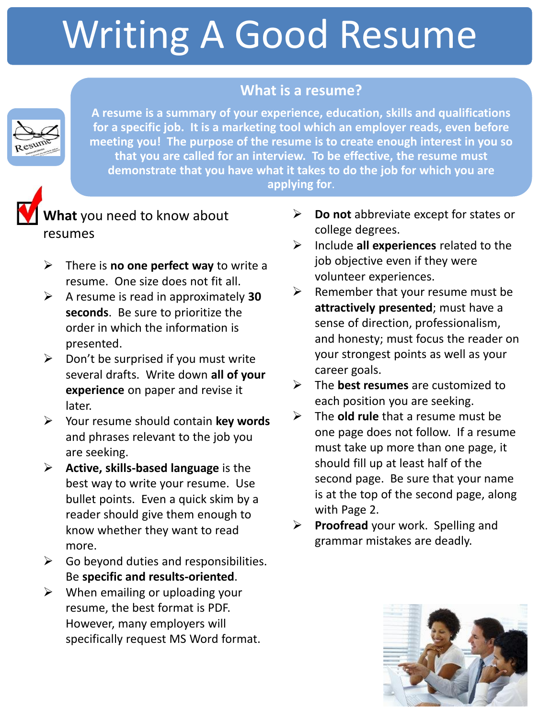# Writing A Good Resume

# **What is a resume?**



**A resume is a summary of your experience, education, skills and qualifications for a specific job. It is a marketing tool which an employer reads, even before meeting you! The purpose of the resume is to create enough interest in you so that you are called for an interview. To be effective, the resume must demonstrate that you have what it takes to do the job for which you are applying for**.



**What** you need to know about resumes

- There is **no one perfect way** to write a resume. One size does not fit all.
- A resume is read in approximately **30 seconds**. Be sure to prioritize the order in which the information is presented.
- $\triangleright$  Don't be surprised if you must write several drafts. Write down **all of your experience** on paper and revise it later.
- Your resume should contain **key words** and phrases relevant to the job you are seeking.
- **Active, skills-based language** is the best way to write your resume. Use bullet points. Even a quick skim by a reader should give them enough to know whether they want to read more.
- $\triangleright$  Go beyond duties and responsibilities. Be **specific and results-oriented**.
- $\triangleright$  When emailing or uploading your resume, the best format is PDF. However, many employers will specifically request MS Word format.
- **Do not** abbreviate except for states or college degrees.
- Include **all experiences** related to the job objective even if they were volunteer experiences.
- $\triangleright$  Remember that your resume must be **attractively presented**; must have a sense of direction, professionalism, and honesty; must focus the reader on your strongest points as well as your career goals.
- The **best resumes** are customized to each position you are seeking.
- The **old rule** that a resume must be one page does not follow. If a resume must take up more than one page, it should fill up at least half of the second page. Be sure that your name is at the top of the second page, along with Page 2.
- **Proofread** your work. Spelling and grammar mistakes are deadly.

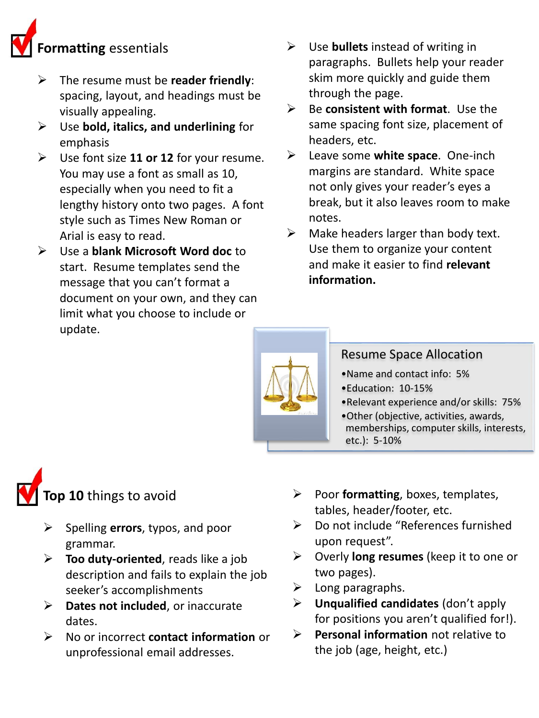# **Formatting** essentials

- The resume must be **reader friendly**: spacing, layout, and headings must be visually appealing.
- Use **bold, italics, and underlining** for emphasis
- Use font size **11 or 12** for your resume. You may use a font as small as 10, especially when you need to fit a lengthy history onto two pages. A font style such as Times New Roman or Arial is easy to read.
- Use a **blank Microsoft Word doc** to start. Resume templates send the message that you can't format a document on your own, and they can limit what you choose to include or update.
- Use **bullets** instead of writing in paragraphs. Bullets help your reader skim more quickly and guide them through the page.
- Be **consistent with format**. Use the same spacing font size, placement of headers, etc.
- Leave some **white space**. One-inch margins are standard. White space not only gives your reader's eyes a break, but it also leaves room to make notes.
- $\triangleright$  Make headers larger than body text. Use them to organize your content and make it easier to find **relevant information.**



### Resume Space Allocation

- •Name and contact info: 5%
- •Education: 10-15%
- •Relevant experience and/or skills: 75%
- •Other (objective, activities, awards, memberships, computer skills, interests, etc.): 5-10%



- Spelling **errors**, typos, and poor grammar.
- **Too duty-oriented**, reads like a job description and fails to explain the job seeker's accomplishments
- **Dates not included**, or inaccurate dates.
- No or incorrect **contact information** or unprofessional email addresses.
- $\triangleright$  Poor **formatting**, boxes, templates, tables, header/footer, etc.
- Do not include "References furnished upon request".
- Overly **long resumes** (keep it to one or two pages).
- $\triangleright$  Long paragraphs.
- **Unqualified candidates** (don't apply for positions you aren't qualified for!).
- **Personal information** not relative to the job (age, height, etc.)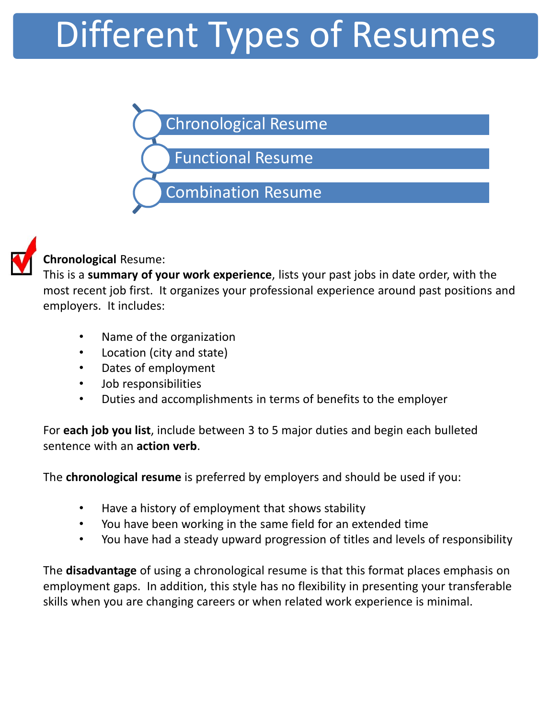# Different Types of Resumes





### **Chronological** Resume:

This is a **summary of your work experience**, lists your past jobs in date order, with the most recent job first. It organizes your professional experience around past positions and employers. It includes:

- Name of the organization
- Location (city and state)
- Dates of employment
- Job responsibilities
- Duties and accomplishments in terms of benefits to the employer

For **each job you list**, include between 3 to 5 major duties and begin each bulleted sentence with an **action verb**.

The **chronological resume** is preferred by employers and should be used if you:

- Have a history of employment that shows stability
- You have been working in the same field for an extended time
- You have had a steady upward progression of titles and levels of responsibility

The **disadvantage** of using a chronological resume is that this format places emphasis on employment gaps. In addition, this style has no flexibility in presenting your transferable skills when you are changing careers or when related work experience is minimal.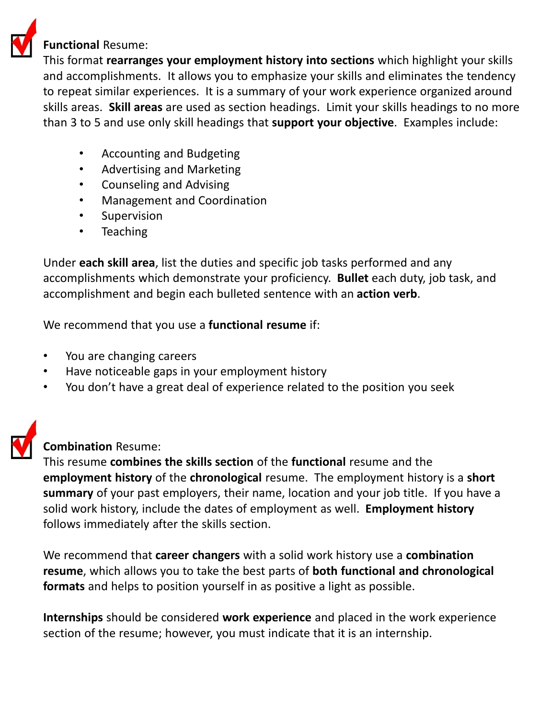

#### **Functional** Resume:

This format **rearranges your employment history into sections** which highlight your skills and accomplishments. It allows you to emphasize your skills and eliminates the tendency to repeat similar experiences. It is a summary of your work experience organized around skills areas. **Skill areas** are used as section headings. Limit your skills headings to no more than 3 to 5 and use only skill headings that **support your objective**. Examples include:

- Accounting and Budgeting
- Advertising and Marketing
- Counseling and Advising
- Management and Coordination
- Supervision
- Teaching

Under **each skill area**, list the duties and specific job tasks performed and any accomplishments which demonstrate your proficiency. **Bullet** each duty, job task, and accomplishment and begin each bulleted sentence with an **action verb**.

We recommend that you use a **functional resume** if:

- You are changing careers
- Have noticeable gaps in your employment history
- You don't have a great deal of experience related to the position you seek



#### **Combination** Resume:

This resume **combines the skills section** of the **functional** resume and the **employment history** of the **chronological** resume. The employment history is a **short summary** of your past employers, their name, location and your job title. If you have a solid work history, include the dates of employment as well. **Employment history**  follows immediately after the skills section.

We recommend that **career changers** with a solid work history use a **combination resume**, which allows you to take the best parts of **both functional and chronological formats** and helps to position yourself in as positive a light as possible.

**Internships** should be considered **work experience** and placed in the work experience section of the resume; however, you must indicate that it is an internship.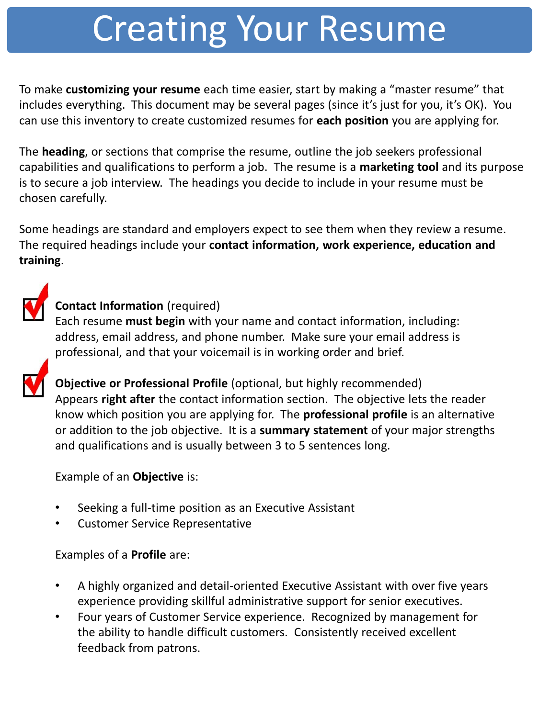# Creating Your Resume

To make **customizing your resume** each time easier, start by making a "master resume" that includes everything. This document may be several pages (since it's just for you, it's OK). You can use this inventory to create customized resumes for **each position** you are applying for.

The **heading**, or sections that comprise the resume, outline the job seekers professional capabilities and qualifications to perform a job. The resume is a **marketing tool** and its purpose is to secure a job interview. The headings you decide to include in your resume must be chosen carefully.

Some headings are standard and employers expect to see them when they review a resume. The required headings include your **contact information, work experience, education and training**.



# **Contact Information** (required)

Each resume **must begin** with your name and contact information, including: address, email address, and phone number. Make sure your email address is professional, and that your voicemail is in working order and brief.

**Objective or Professional Profile** (optional, but highly recommended) Appears **right after** the contact information section. The objective lets the reader know which position you are applying for. The **professional profile** is an alternative or addition to the job objective. It is a **summary statement** of your major strengths and qualifications and is usually between 3 to 5 sentences long.

### Example of an **Objective** is:

- Seeking a full-time position as an Executive Assistant
- Customer Service Representative

### Examples of a **Profile** are:

- A highly organized and detail-oriented Executive Assistant with over five years experience providing skillful administrative support for senior executives.
- Four years of Customer Service experience. Recognized by management for the ability to handle difficult customers. Consistently received excellent feedback from patrons.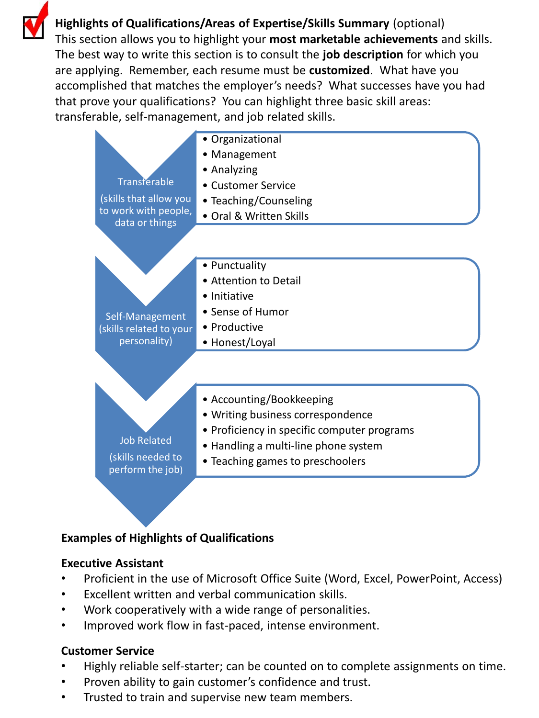**Highlights of Qualifications/Areas of Expertise/Skills Summary** (optional) This section allows you to highlight your **most marketable achievements** and skills. The best way to write this section is to consult the **job description** for which you are applying. Remember, each resume must be **customized**. What have you accomplished that matches the employer's needs? What successes have you had that prove your qualifications? You can highlight three basic skill areas: transferable, self-management, and job related skills.



#### **Examples of Highlights of Qualifications**

#### **Executive Assistant**

- Proficient in the use of Microsoft Office Suite (Word, Excel, PowerPoint, Access)
- Excellent written and verbal communication skills.
- Work cooperatively with a wide range of personalities.
- Improved work flow in fast-paced, intense environment.

#### **Customer Service**

- Highly reliable self-starter; can be counted on to complete assignments on time.
- Proven ability to gain customer's confidence and trust.
- Trusted to train and supervise new team members.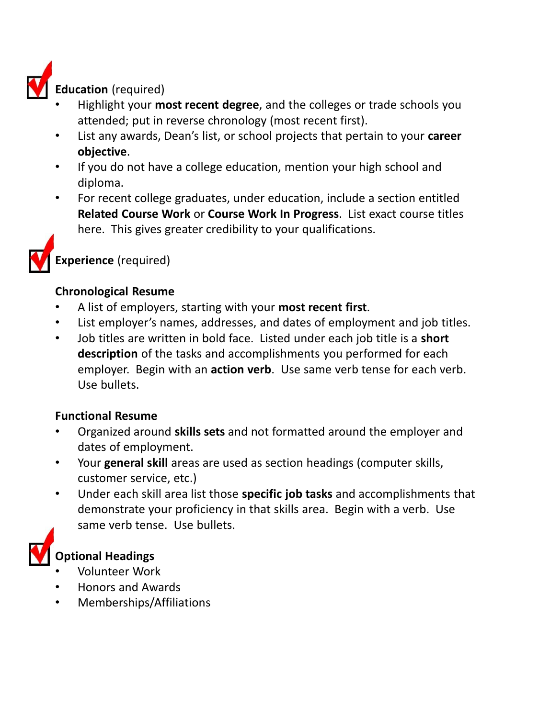

**Education** (required)

- Highlight your **most recent degree**, and the colleges or trade schools you attended; put in reverse chronology (most recent first).
- List any awards, Dean's list, or school projects that pertain to your **career objective**.
- If you do not have a college education, mention your high school and diploma.
- For recent college graduates, under education, include a section entitled **Related Course Work** or **Course Work In Progress**. List exact course titles here. This gives greater credibility to your qualifications.



**Experience** (required)

#### **Chronological Resume**

- A list of employers, starting with your **most recent first**.
- List employer's names, addresses, and dates of employment and job titles.
- Job titles are written in bold face. Listed under each job title is a **short description** of the tasks and accomplishments you performed for each employer. Begin with an **action verb**. Use same verb tense for each verb. Use bullets.

#### **Functional Resume**

- Organized around **skills sets** and not formatted around the employer and dates of employment.
- Your **general skill** areas are used as section headings (computer skills, customer service, etc.)
- Under each skill area list those **specific job tasks** and accomplishments that demonstrate your proficiency in that skills area. Begin with a verb. Use same verb tense. Use bullets.



#### **Optional Headings**

- Volunteer Work
- Honors and Awards
- Memberships/Affiliations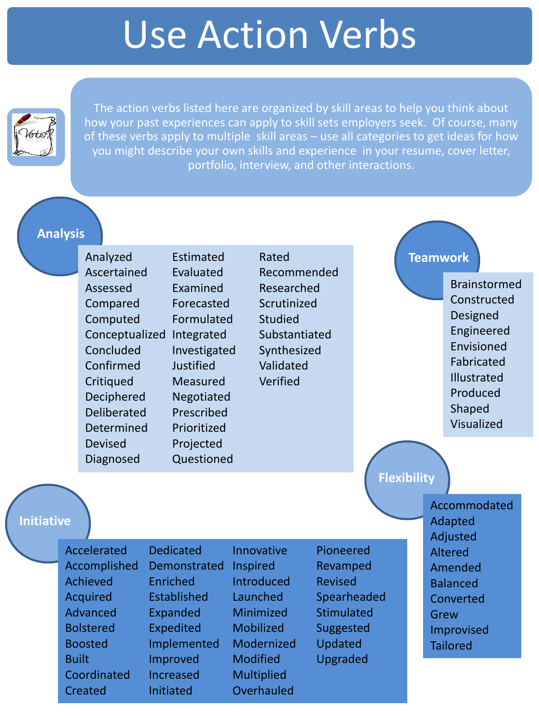# Use Action Verbs



The action verbs listed here are organized by skill areas to help you think about how your past experiences can apply to skill sets employers seek. Of course, many of these verbs apply to multiple skill areas – use all categories to get ideas for how you might describe your own skills and experience in your resume, cover letter, portfolio, interview, and other interactions.

#### **Analysis**

Analyzed Ascertained Assessed Compared Computed Conceptualized Integrated Concluded Confirmed **Critiqued** Deciphered Deliberated Determined Devised Diagnosed Estimated Evaluated Examined Forecasted Formulated Investigated **Justified** Measured Negotiated Prescribed Prioritized Projected **Questioned** 

Recommended Rated Researched Scrutinized **Studied** Substantiated Synthesized Validated Verified

#### **Teamwork**

Brainstormed Constructed Designed Engineered Envisioned Fabricated Illustrated Produced Shaped Visualized

### **Flexibility**

Accommodated Adapted Adjusted Altered Amended Balanced Converted Grew Improvised **Tailored** 

# **Initiative**

| <b>Accelerated</b> | <b>Dedicated</b>   | Innovative        | Pioneered         |
|--------------------|--------------------|-------------------|-------------------|
|                    |                    |                   |                   |
| Accomplished       | Demonstrated       | Inspired          | Revamped          |
| <b>Achieved</b>    | Enriched           | <b>Introduced</b> | <b>Revised</b>    |
| <b>Acquired</b>    | <b>Established</b> | Launched          | Spearheaded       |
| <b>Advanced</b>    | Expanded           | Minimized         | <b>Stimulated</b> |
| <b>Bolstered</b>   | <b>Expedited</b>   | Mobilized         | <b>Suggested</b>  |
| <b>Boosted</b>     | Implemented        | Modernized        | <b>Updated</b>    |
| <b>Built</b>       | Improved           | <b>Modified</b>   | Upgraded          |
| Coordinated        | Increased          | <b>Multiplied</b> |                   |
| <b>Created</b>     | Initiated          | Overhauled        |                   |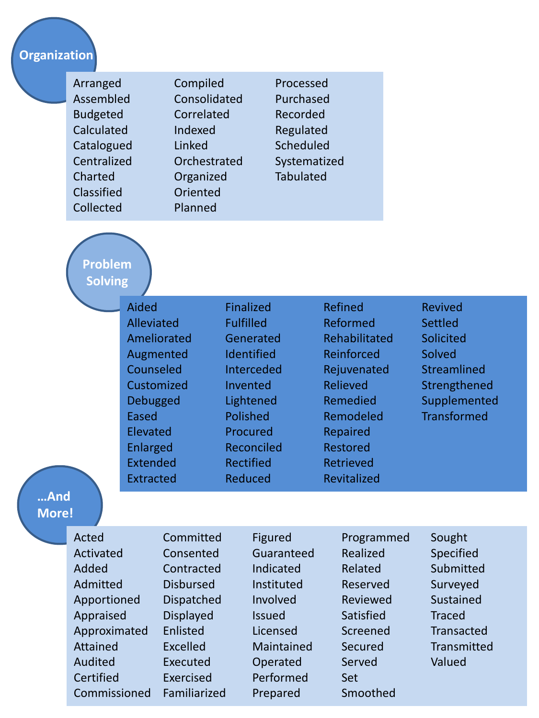# **Organization**

| Arranged<br>Assembled<br><b>Budgeted</b><br>Calculated<br>Catalogued<br>Centralized<br>Charted<br>Classified<br>Collected |                                                                                                                                | Compiled<br>Consolidated<br>Correlated<br>Indexed<br>Linked<br>Orchestrated<br>Organized<br>Oriented<br>Planned                                                       |                                                                                                                                                                         | Processed<br>Purchased<br>Recorded<br>Regulated<br>Scheduled<br>Systematized<br><b>Tabulated</b>                                                                                   |                                                                                                                                  |                                                                                                                                                                          |                                                                                                                                     |
|---------------------------------------------------------------------------------------------------------------------------|--------------------------------------------------------------------------------------------------------------------------------|-----------------------------------------------------------------------------------------------------------------------------------------------------------------------|-------------------------------------------------------------------------------------------------------------------------------------------------------------------------|------------------------------------------------------------------------------------------------------------------------------------------------------------------------------------|----------------------------------------------------------------------------------------------------------------------------------|--------------------------------------------------------------------------------------------------------------------------------------------------------------------------|-------------------------------------------------------------------------------------------------------------------------------------|
|                                                                                                                           | <b>Problem</b><br><b>Solving</b>                                                                                               |                                                                                                                                                                       |                                                                                                                                                                         |                                                                                                                                                                                    |                                                                                                                                  |                                                                                                                                                                          |                                                                                                                                     |
| And                                                                                                                       |                                                                                                                                | Aided<br>Alleviated<br>Ameliorated<br>Augmented<br>Counseled<br>Customized<br><b>Debugged</b><br>Eased<br>Elevated<br>Enlarged<br><b>Extended</b><br><b>Extracted</b> |                                                                                                                                                                         | <b>Finalized</b><br><b>Fulfilled</b><br>Generated<br>Identified<br>Interceded<br>Invented<br>Lightened<br>Polished<br>Procured<br>Reconciled<br><b>Rectified</b><br><b>Reduced</b> |                                                                                                                                  | <b>Refined</b><br>Reformed<br>Rehabilitated<br>Reinforced<br>Rejuvenated<br>Relieved<br>Remedied<br>Remodeled<br>Repaired<br><b>Restored</b><br>Retrieved<br>Revitalized | <b>Revived</b><br><b>Settled</b><br>Solicited<br>Solved<br><b>Streamlined</b><br>Strengthened<br>Supplemented<br><b>Transformed</b> |
| <b>More!</b>                                                                                                              |                                                                                                                                |                                                                                                                                                                       |                                                                                                                                                                         |                                                                                                                                                                                    |                                                                                                                                  |                                                                                                                                                                          |                                                                                                                                     |
|                                                                                                                           | Acted<br>Activated<br>Added<br>Admitted<br>Apportioned<br>Appraised<br>Approximated<br><b>Attained</b><br>Audited<br>Certified |                                                                                                                                                                       | Committed<br>Consented<br>Contracted<br><b>Disbursed</b><br><b>Dispatched</b><br><b>Displayed</b><br>Enlisted<br><b>Excelled</b><br><b>Executed</b><br><b>Exercised</b> |                                                                                                                                                                                    | Figured<br>Guaranteed<br>Indicated<br>Instituted<br>Involved<br><b>Issued</b><br>Licensed<br>Maintained<br>Operated<br>Performed | Programmed<br>Realized<br>Related<br>Reserved<br>Reviewed<br>Satisfied<br>Screened<br>Secured<br>Served<br>Set                                                           | Sought<br>Specified<br>Submitted<br>Surveyed<br>Sustained<br><b>Traced</b><br><b>Transacted</b><br>Transmitted<br>Valued            |

Prepared

Smoothed

Commissioned Familiarized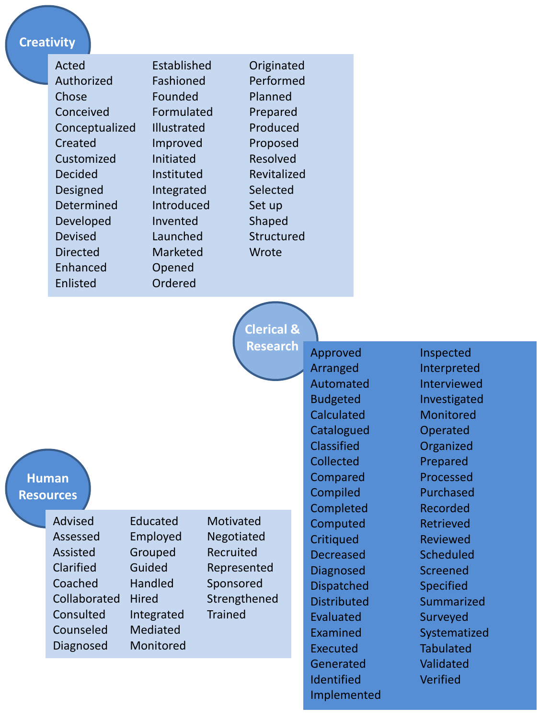#### **Creativity**

| Acted           | Established        | Originated  |
|-----------------|--------------------|-------------|
| Authorized      | Fashioned          | Performed   |
| Chose           | Founded            | Planned     |
| Conceived       | Formulated         | Prepared    |
| Conceptualized  | <b>Illustrated</b> | Produced    |
| Created         | Improved           | Proposed    |
| Customized      | Initiated          | Resolved    |
| <b>Decided</b>  | Instituted         | Revitalized |
| Designed        | Integrated         | Selected    |
| Determined      | Introduced         | Set up      |
| Developed       | Invented           | Shaped      |
| <b>Devised</b>  | Launched           | Structured  |
| <b>Directed</b> | Marketed           | Wrote       |
| Enhanced        | Opened             |             |
| Enlisted        | Ordered            |             |

**Clerical & Research**

**Human**

**Resources**

Advised Assessed Assisted Clarified Coached Collaborated Consulted Counseled Diagnosed

Educated Employed Grouped Guided Handled **Hired** Integrated Mediated Monitored **Motivated** Negotiated Recruited Represented Sponsored Strengthened **Trained** 

Approved Arranged Automated Budgeted **Calculated Catalogued Classified** Collected Compared Compiled Completed Computed **Critiqued** Decreased Diagnosed Dispatched **Distributed** Evaluated Examined Executed **Generated Identified** Implemented Inspected Interpreted Interviewed Investigated **Monitored** Operated **Organized** Prepared Processed Purchased Recorded Retrieved Reviewed **Scheduled** Screened Specified Summarized Surveyed Systematized Tabulated Validated Verified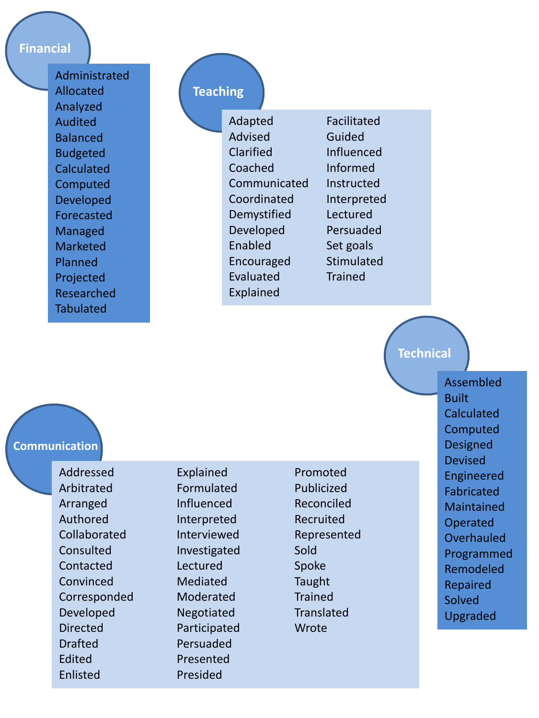#### **Financial**

Administrated Allocated Analyzed Audited Balanced Budgeted Calculated Computed Developed Forecasted Managed **Marketed** Planned Projected Researched **Tabulated** 

#### **Teaching**

Adapted Advised Clarified Coached Communicated **Coordinated** Demystified Developed Enabled Encouraged Evaluated Explained

Facilitated Guided Influenced Informed Instructed Interpreted Lectured Persuaded Set goals **Stimulated** Trained

#### **Technical**

**Communication**

Addressed Arbitrated Arranged Authored Collaborated **Consulted** Contacted Convinced Corresponded Developed Directed **Drafted** Edited Enlisted

Explained Formulated Influenced Interpreted Interviewed Investigated Lectured Mediated Moderated Negotiated Participated Persuaded Presented Presided

Promoted Publicized Reconciled Recruited Represented Sold Spoke Taught **Trained Translated Wrote** 

Assembled Built Calculated **Computed Designed Devised** Engineered Fabricated Maintained Operated **Overhauled** Programmed Remodeled Repaired Solved Upgraded